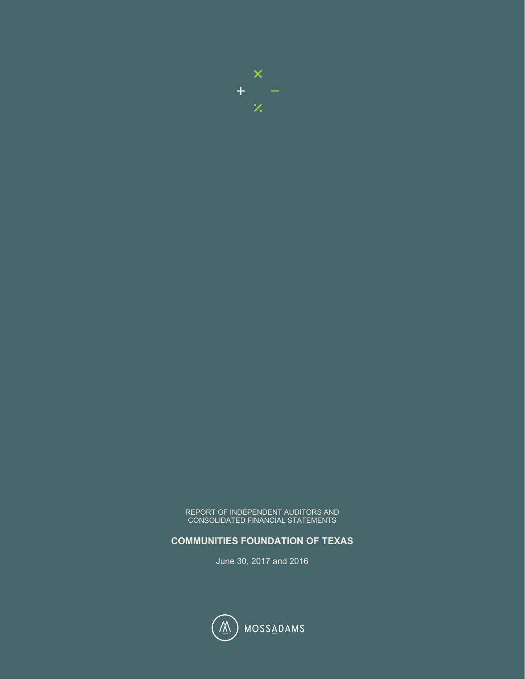

REPORT OF INDEPENDENT AUDITORS AND CONSOLIDATED FINANCIAL STATEMENTS

# **COMMUNITIES FOUNDATION OF TEXAS**

June 30, 2017 and 2016

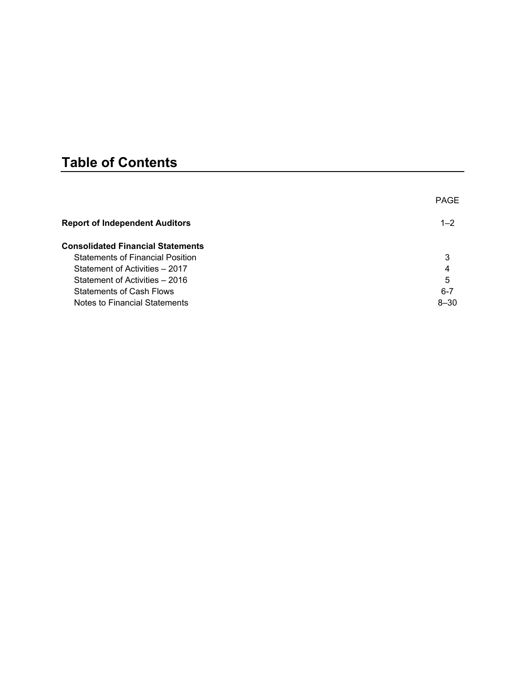# **Table of Contents**

|                                          | <b>PAGE</b> |
|------------------------------------------|-------------|
| <b>Report of Independent Auditors</b>    | $1 - 2$     |
| <b>Consolidated Financial Statements</b> |             |
| <b>Statements of Financial Position</b>  | 3           |
| Statement of Activities - 2017           | 4           |
| Statement of Activities – 2016           | 5           |
| <b>Statements of Cash Flows</b>          | $6 - 7$     |
| Notes to Financial Statements            | $8 - 30$    |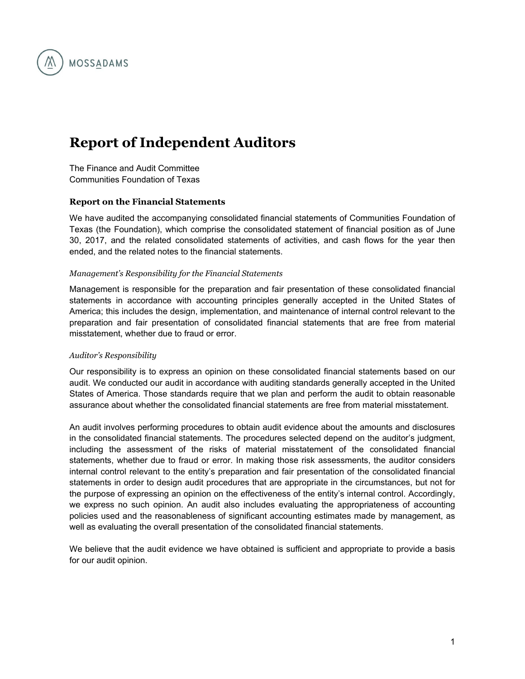

# **Report of Independent Auditors**

The Finance and Audit Committee Communities Foundation of Texas

#### **Report on the Financial Statements**

We have audited the accompanying consolidated financial statements of Communities Foundation of Texas (the Foundation), which comprise the consolidated statement of financial position as of June 30, 2017, and the related consolidated statements of activities, and cash flows for the year then ended, and the related notes to the financial statements.

#### *Management's Responsibility for the Financial Statements*

Management is responsible for the preparation and fair presentation of these consolidated financial statements in accordance with accounting principles generally accepted in the United States of America; this includes the design, implementation, and maintenance of internal control relevant to the preparation and fair presentation of consolidated financial statements that are free from material misstatement, whether due to fraud or error.

#### *Auditor's Responsibility*

Our responsibility is to express an opinion on these consolidated financial statements based on our audit. We conducted our audit in accordance with auditing standards generally accepted in the United States of America. Those standards require that we plan and perform the audit to obtain reasonable assurance about whether the consolidated financial statements are free from material misstatement.

An audit involves performing procedures to obtain audit evidence about the amounts and disclosures in the consolidated financial statements. The procedures selected depend on the auditor's judgment, including the assessment of the risks of material misstatement of the consolidated financial statements, whether due to fraud or error. In making those risk assessments, the auditor considers internal control relevant to the entity's preparation and fair presentation of the consolidated financial statements in order to design audit procedures that are appropriate in the circumstances, but not for the purpose of expressing an opinion on the effectiveness of the entity's internal control. Accordingly, we express no such opinion. An audit also includes evaluating the appropriateness of accounting policies used and the reasonableness of significant accounting estimates made by management, as well as evaluating the overall presentation of the consolidated financial statements.

We believe that the audit evidence we have obtained is sufficient and appropriate to provide a basis for our audit opinion.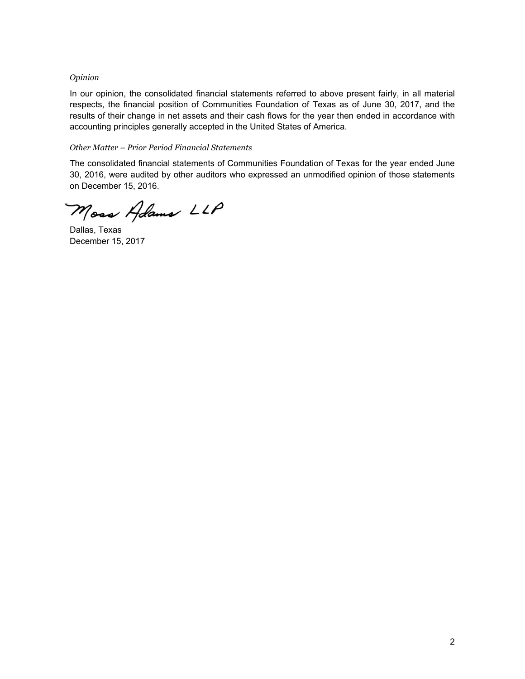#### *Opinion*

In our opinion, the consolidated financial statements referred to above present fairly, in all material respects, the financial position of Communities Foundation of Texas as of June 30, 2017, and the results of their change in net assets and their cash flows for the year then ended in accordance with accounting principles generally accepted in the United States of America.

#### *Other Matter – Prior Period Financial Statements*

The consolidated financial statements of Communities Foundation of Texas for the year ended June 30, 2016, were audited by other auditors who expressed an unmodified opinion of those statements on December 15, 2016.

Moss Adams LLP

Dallas, Texas December 15, 2017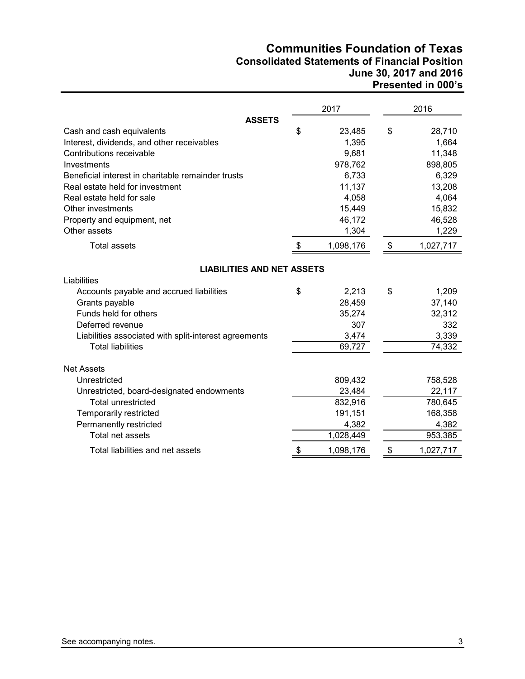# **Communities Foundation of Texas Consolidated Statements of Financial Position June 30, 2017 and 2016 Presented in 000's**

|                                                       |               | 2017      | 2016            |
|-------------------------------------------------------|---------------|-----------|-----------------|
| <b>ASSETS</b>                                         |               |           |                 |
| Cash and cash equivalents                             | \$            | 23,485    | \$<br>28,710    |
| Interest, dividends, and other receivables            |               | 1,395     | 1,664           |
| Contributions receivable                              |               | 9,681     | 11,348          |
| Investments                                           |               | 978,762   | 898,805         |
| Beneficial interest in charitable remainder trusts    |               | 6,733     | 6,329           |
| Real estate held for investment                       |               | 11,137    | 13,208          |
| Real estate held for sale                             |               | 4,058     | 4,064           |
| Other investments                                     |               | 15,449    | 15,832          |
| Property and equipment, net                           |               | 46,172    | 46,528          |
| Other assets                                          |               | 1,304     | 1,229           |
| <b>Total assets</b>                                   | \$            | 1,098,176 | \$<br>1,027,717 |
| <b>LIABILITIES AND NET ASSETS</b>                     |               |           |                 |
| Liabilities                                           |               |           |                 |
| Accounts payable and accrued liabilities              | \$            | 2,213     | \$<br>1,209     |
| Grants payable                                        |               | 28,459    | 37,140          |
| Funds held for others                                 |               | 35,274    | 32,312          |
| Deferred revenue                                      |               | 307       | 332             |
| Liabilities associated with split-interest agreements |               | 3,474     | 3,339           |
| <b>Total liabilities</b>                              |               | 69,727    | 74,332          |
| <b>Net Assets</b>                                     |               |           |                 |
| Unrestricted                                          |               | 809,432   | 758,528         |
| Unrestricted, board-designated endowments             |               | 23,484    | 22,117          |
| <b>Total unrestricted</b>                             |               | 832,916   | 780,645         |
| Temporarily restricted                                |               | 191,151   | 168,358         |
| Permanently restricted                                |               | 4,382     | 4,382           |
| Total net assets                                      |               | 1,028,449 | 953,385         |
| Total liabilities and net assets                      | $\frac{1}{2}$ | 1,098,176 | \$<br>1,027,717 |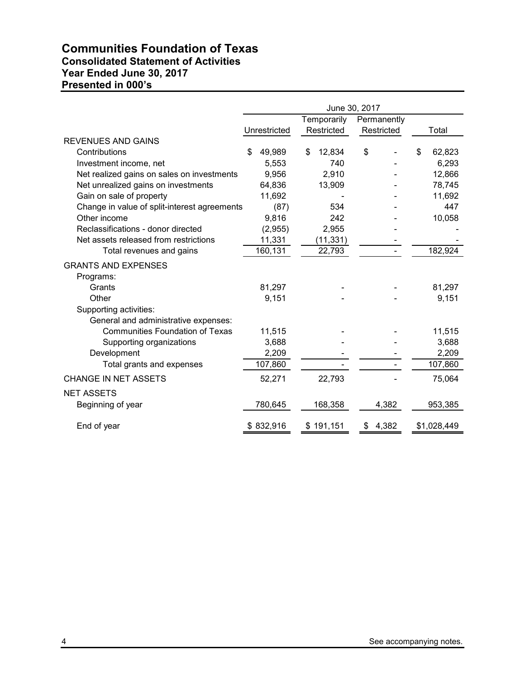# **Communities Foundation of Texas Consolidated Statement of Activities Year Ended June 30, 2017 Presented in 000's**

|                                              | June 30, 2017 |              |    |             |    |             |    |             |
|----------------------------------------------|---------------|--------------|----|-------------|----|-------------|----|-------------|
|                                              |               |              |    | Temporarily |    | Permanently |    |             |
|                                              |               | Unrestricted |    | Restricted  |    | Restricted  |    | Total       |
| <b>REVENUES AND GAINS</b>                    |               |              |    |             |    |             |    |             |
| Contributions                                | S             | 49,989       | \$ | 12,834      | \$ |             | \$ | 62,823      |
| Investment income, net                       |               | 5.553        |    | 740         |    |             |    | 6,293       |
| Net realized gains on sales on investments   |               | 9,956        |    | 2,910       |    |             |    | 12,866      |
| Net unrealized gains on investments          |               | 64,836       |    | 13,909      |    |             |    | 78,745      |
| Gain on sale of property                     |               | 11,692       |    |             |    |             |    | 11,692      |
| Change in value of split-interest agreements |               | (87)         |    | 534         |    |             |    | 447         |
| Other income                                 |               | 9,816        |    | 242         |    |             |    | 10,058      |
| Reclassifications - donor directed           |               | (2,955)      |    | 2,955       |    |             |    |             |
| Net assets released from restrictions        |               | 11,331       |    | (11, 331)   |    |             |    |             |
| Total revenues and gains                     |               | 160,131      |    | 22,793      |    |             |    | 182,924     |
| <b>GRANTS AND EXPENSES</b>                   |               |              |    |             |    |             |    |             |
| Programs:                                    |               |              |    |             |    |             |    |             |
| Grants                                       |               | 81,297       |    |             |    |             |    | 81,297      |
| Other                                        |               | 9,151        |    |             |    |             |    | 9,151       |
| Supporting activities:                       |               |              |    |             |    |             |    |             |
| General and administrative expenses:         |               |              |    |             |    |             |    |             |
| <b>Communities Foundation of Texas</b>       |               | 11,515       |    |             |    |             |    | 11,515      |
| Supporting organizations                     |               | 3,688        |    |             |    |             |    | 3,688       |
| Development                                  |               | 2,209        |    |             |    |             |    | 2,209       |
| Total grants and expenses                    |               | 107,860      |    |             |    |             |    | 107,860     |
| <b>CHANGE IN NET ASSETS</b>                  |               | 52,271       |    | 22,793      |    |             |    | 75,064      |
| <b>NET ASSETS</b>                            |               |              |    |             |    |             |    |             |
| Beginning of year                            |               | 780,645      |    | 168,358     |    | 4,382       |    | 953,385     |
| End of year                                  |               | \$832,916    |    | \$191,151   | \$ | 4,382       |    | \$1,028,449 |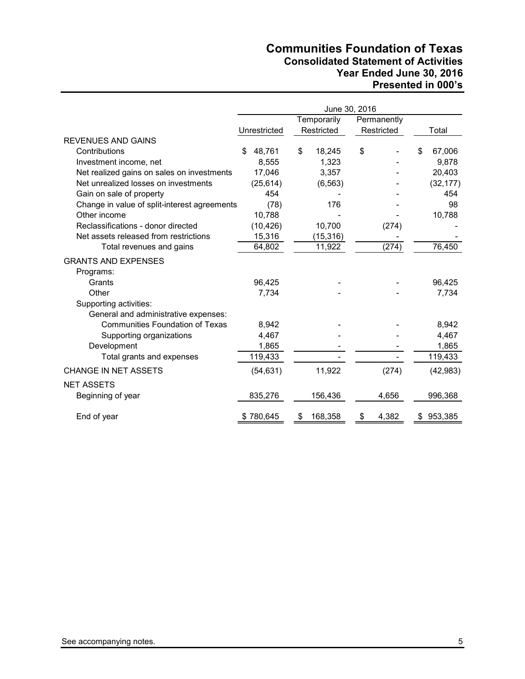# **Communities Foundation of Texas Consolidated Statement of Activities Year Ended June 30, 2016 Presented in 000's**

|                                              | June 30, 2016 |           |    |             |    |             |    |           |
|----------------------------------------------|---------------|-----------|----|-------------|----|-------------|----|-----------|
|                                              |               |           |    | Temporarily |    | Permanently |    |           |
|                                              | Unrestricted  |           |    | Restricted  |    | Restricted  |    | Total     |
| <b>REVENUES AND GAINS</b>                    |               |           |    |             |    |             |    |           |
| Contributions                                | \$            | 48,761    | \$ | 18,245      | \$ |             | \$ | 67,006    |
| Investment income, net                       |               | 8,555     |    | 1,323       |    |             |    | 9,878     |
| Net realized gains on sales on investments   |               | 17,046    |    | 3,357       |    |             |    | 20,403    |
| Net unrealized losses on investments         |               | (25, 614) |    | (6, 563)    |    |             |    | (32, 177) |
| Gain on sale of property                     |               | 454       |    |             |    |             |    | 454       |
| Change in value of split-interest agreements |               | (78)      |    | 176         |    |             |    | 98        |
| Other income                                 |               | 10,788    |    |             |    |             |    | 10,788    |
| Reclassifications - donor directed           |               | (10, 426) |    | 10,700      |    | (274)       |    |           |
| Net assets released from restrictions        |               | 15,316    |    | (15, 316)   |    |             |    |           |
| Total revenues and gains                     |               | 64,802    |    | 11,922      |    | (274)       |    | 76,450    |
| <b>GRANTS AND EXPENSES</b>                   |               |           |    |             |    |             |    |           |
| Programs:                                    |               |           |    |             |    |             |    |           |
| Grants                                       |               | 96,425    |    |             |    |             |    | 96,425    |
| Other                                        |               | 7,734     |    |             |    |             |    | 7,734     |
| Supporting activities:                       |               |           |    |             |    |             |    |           |
| General and administrative expenses:         |               |           |    |             |    |             |    |           |
| <b>Communities Foundation of Texas</b>       |               | 8,942     |    |             |    |             |    | 8,942     |
| Supporting organizations                     |               | 4,467     |    |             |    |             |    | 4,467     |
| Development                                  |               | 1,865     |    |             |    |             |    | 1,865     |
| Total grants and expenses                    |               | 119,433   |    |             |    |             |    | 119,433   |
| <b>CHANGE IN NET ASSETS</b>                  |               | (54, 631) |    | 11,922      |    | (274)       |    | (42, 983) |
| <b>NET ASSETS</b>                            |               |           |    |             |    |             |    |           |
| Beginning of year                            |               | 835,276   |    | 156,436     |    | 4,656       |    | 996,368   |
| End of year                                  | \$780,645     |           | S  | 168,358     | \$ | 4,382       | S. | 953,385   |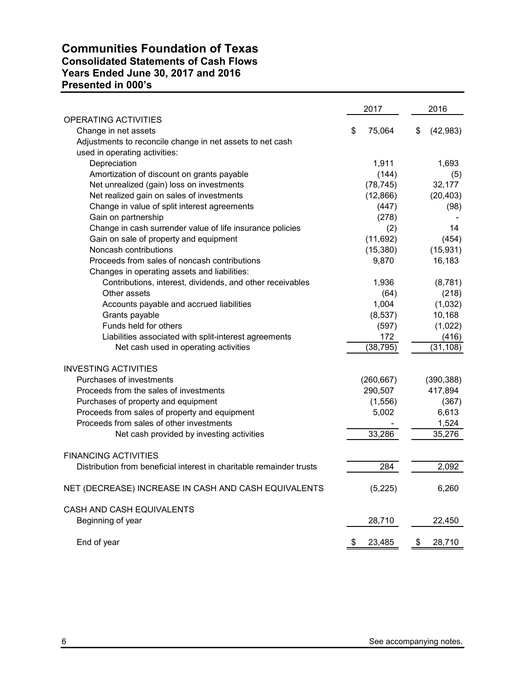# **Communities Foundation of Texas Consolidated Statements of Cash Flows Years Ended June 30, 2017 and 2016 Presented in 000's**

|                                                                                            | 2017         | 2016            |
|--------------------------------------------------------------------------------------------|--------------|-----------------|
| <b>OPERATING ACTIVITIES</b>                                                                |              |                 |
| Change in net assets                                                                       | \$<br>75,064 | \$<br>(42, 983) |
| Adjustments to reconcile change in net assets to net cash<br>used in operating activities: |              |                 |
| Depreciation                                                                               | 1,911        | 1,693           |
| Amortization of discount on grants payable                                                 | (144)        | (5)             |
| Net unrealized (gain) loss on investments                                                  | (78, 745)    | 32,177          |
| Net realized gain on sales of investments                                                  | (12,866)     | (20, 403)       |
| Change in value of split interest agreements                                               | (447)        | (98)            |
| Gain on partnership                                                                        | (278)        |                 |
| Change in cash surrender value of life insurance policies                                  | (2)          | 14              |
| Gain on sale of property and equipment                                                     | (11, 692)    | (454)           |
| Noncash contributions                                                                      | (15, 380)    | (15, 931)       |
| Proceeds from sales of noncash contributions                                               | 9,870        | 16,183          |
| Changes in operating assets and liabilities:                                               |              |                 |
| Contributions, interest, dividends, and other receivables                                  | 1,936        | (8,781)         |
| Other assets                                                                               | (64)         | (218)           |
| Accounts payable and accrued liabilities                                                   | 1,004        | (1,032)         |
| Grants payable                                                                             | (8,537)      | 10,168          |
| Funds held for others                                                                      | (597)        | (1,022)         |
| Liabilities associated with split-interest agreements                                      | 172          | (416)           |
| Net cash used in operating activities                                                      | (38, 795)    | (31, 108)       |
| <b>INVESTING ACTIVITIES</b>                                                                |              |                 |
| Purchases of investments                                                                   | (260, 667)   | (390, 388)      |
| Proceeds from the sales of investments                                                     | 290,507      | 417,894         |
| Purchases of property and equipment                                                        | (1,556)      | (367)           |
| Proceeds from sales of property and equipment                                              | 5,002        | 6,613           |
| Proceeds from sales of other investments                                                   |              | 1,524           |
| Net cash provided by investing activities                                                  | 33,286       | 35,276          |
| <b>FINANCING ACTIVITIES</b>                                                                |              |                 |
| Distribution from beneficial interest in charitable remainder trusts                       | 284          | 2,092           |
| NET (DECREASE) INCREASE IN CASH AND CASH EQUIVALENTS                                       | (5, 225)     | 6,260           |
| CASH AND CASH EQUIVALENTS                                                                  |              |                 |
| Beginning of year                                                                          | 28,710       | 22,450          |
| End of year                                                                                | \$<br>23,485 | \$<br>28,710    |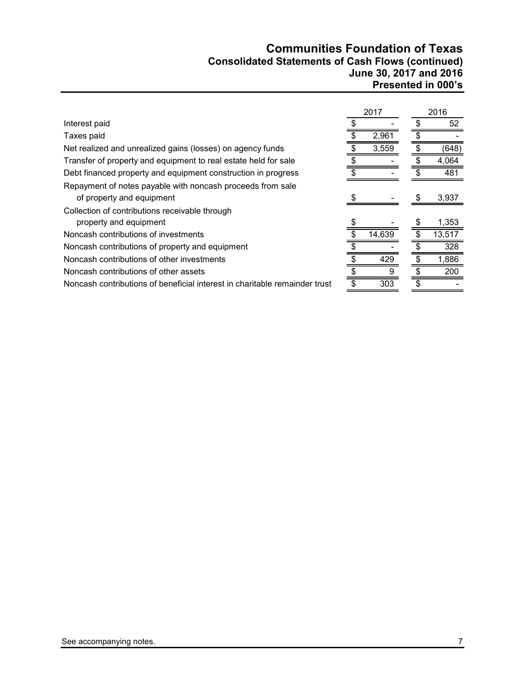# **Communities Foundation of Texas Consolidated Statements of Cash Flows (continued) June 30, 2017 and 2016 Presented in 000's**

|                                                                            | 2017   | 2016   |
|----------------------------------------------------------------------------|--------|--------|
| Interest paid                                                              |        | 52     |
| Taxes paid                                                                 | 2,961  |        |
| Net realized and unrealized gains (losses) on agency funds                 | 3,559  | (648)  |
| Transfer of property and equipment to real estate held for sale            |        | 4,064  |
| Debt financed property and equipment construction in progress              |        | 481    |
| Repayment of notes payable with noncash proceeds from sale                 |        |        |
| of property and equipment                                                  |        | 3,937  |
| Collection of contributions receivable through                             |        |        |
| property and equipment                                                     |        | 1,353  |
| Noncash contributions of investments                                       | 14,639 | 13,517 |
| Noncash contributions of property and equipment                            |        | 328    |
| Noncash contributions of other investments                                 | 429    | 1,886  |
| Noncash contributions of other assets                                      |        | 200    |
| Noncash contributions of beneficial interest in charitable remainder trust | 303    |        |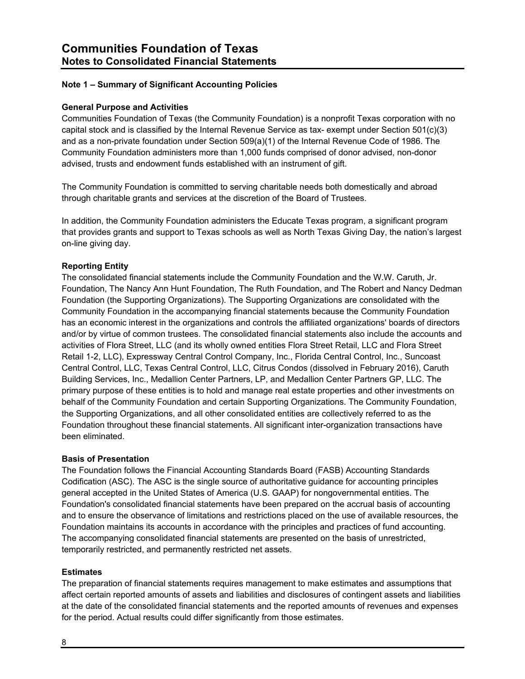# **Note 1 – Summary of Significant Accounting Policies**

#### **General Purpose and Activities**

Communities Foundation of Texas (the Community Foundation) is a nonprofit Texas corporation with no capital stock and is classified by the Internal Revenue Service as tax- exempt under Section 501(c)(3) and as a non-private foundation under Section 509(a)(1) of the Internal Revenue Code of 1986. The Community Foundation administers more than 1,000 funds comprised of donor advised, non-donor advised, trusts and endowment funds established with an instrument of gift.

The Community Foundation is committed to serving charitable needs both domestically and abroad through charitable grants and services at the discretion of the Board of Trustees.

In addition, the Community Foundation administers the Educate Texas program, a significant program that provides grants and support to Texas schools as well as North Texas Giving Day, the nation's largest on-line giving day.

#### **Reporting Entity**

The consolidated financial statements include the Community Foundation and the W.W. Caruth, Jr. Foundation, The Nancy Ann Hunt Foundation, The Ruth Foundation, and The Robert and Nancy Dedman Foundation (the Supporting Organizations). The Supporting Organizations are consolidated with the Community Foundation in the accompanying financial statements because the Community Foundation has an economic interest in the organizations and controls the affiliated organizations' boards of directors and/or by virtue of common trustees. The consolidated financial statements also include the accounts and activities of Flora Street, LLC (and its wholly owned entities Flora Street Retail, LLC and Flora Street Retail 1-2, LLC), Expressway Central Control Company, Inc., Florida Central Control, Inc., Suncoast Central Control, LLC, Texas Central Control, LLC, Citrus Condos (dissolved in February 2016), Caruth Building Services, Inc., Medallion Center Partners, LP, and Medallion Center Partners GP, LLC. The primary purpose of these entities is to hold and manage real estate properties and other investments on behalf of the Community Foundation and certain Supporting Organizations. The Community Foundation, the Supporting Organizations, and all other consolidated entities are collectively referred to as the Foundation throughout these financial statements. All significant inter-organization transactions have been eliminated.

#### **Basis of Presentation**

The Foundation follows the Financial Accounting Standards Board (FASB) Accounting Standards Codification (ASC). The ASC is the single source of authoritative guidance for accounting principles general accepted in the United States of America (U.S. GAAP) for nongovernmental entities. The Foundation's consolidated financial statements have been prepared on the accrual basis of accounting and to ensure the observance of limitations and restrictions placed on the use of available resources, the Foundation maintains its accounts in accordance with the principles and practices of fund accounting. The accompanying consolidated financial statements are presented on the basis of unrestricted, temporarily restricted, and permanently restricted net assets.

#### **Estimates**

The preparation of financial statements requires management to make estimates and assumptions that affect certain reported amounts of assets and liabilities and disclosures of contingent assets and liabilities at the date of the consolidated financial statements and the reported amounts of revenues and expenses for the period. Actual results could differ significantly from those estimates.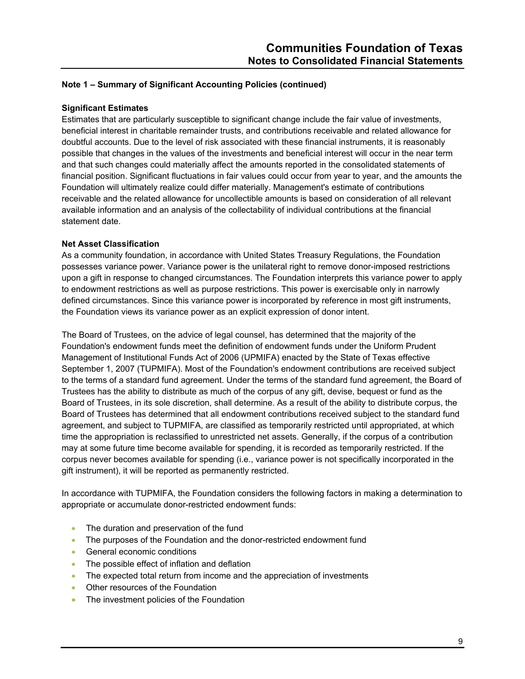#### **Significant Estimates**

Estimates that are particularly susceptible to significant change include the fair value of investments, beneficial interest in charitable remainder trusts, and contributions receivable and related allowance for doubtful accounts. Due to the level of risk associated with these financial instruments, it is reasonably possible that changes in the values of the investments and beneficial interest will occur in the near term and that such changes could materially affect the amounts reported in the consolidated statements of financial position. Significant fluctuations in fair values could occur from year to year, and the amounts the Foundation will ultimately realize could differ materially. Management's estimate of contributions receivable and the related allowance for uncollectible amounts is based on consideration of all relevant available information and an analysis of the collectability of individual contributions at the financial statement date.

#### **Net Asset Classification**

As a community foundation, in accordance with United States Treasury Regulations, the Foundation possesses variance power. Variance power is the unilateral right to remove donor-imposed restrictions upon a gift in response to changed circumstances. The Foundation interprets this variance power to apply to endowment restrictions as well as purpose restrictions. This power is exercisable only in narrowly defined circumstances. Since this variance power is incorporated by reference in most gift instruments, the Foundation views its variance power as an explicit expression of donor intent.

The Board of Trustees, on the advice of legal counsel, has determined that the majority of the Foundation's endowment funds meet the definition of endowment funds under the Uniform Prudent Management of Institutional Funds Act of 2006 (UPMIFA) enacted by the State of Texas effective September 1, 2007 (TUPMIFA). Most of the Foundation's endowment contributions are received subject to the terms of a standard fund agreement. Under the terms of the standard fund agreement, the Board of Trustees has the ability to distribute as much of the corpus of any gift, devise, bequest or fund as the Board of Trustees, in its sole discretion, shall determine. As a result of the ability to distribute corpus, the Board of Trustees has determined that all endowment contributions received subject to the standard fund agreement, and subject to TUPMIFA, are classified as temporarily restricted until appropriated, at which time the appropriation is reclassified to unrestricted net assets. Generally, if the corpus of a contribution may at some future time become available for spending, it is recorded as temporarily restricted. If the corpus never becomes available for spending (i.e., variance power is not specifically incorporated in the gift instrument), it will be reported as permanently restricted.

In accordance with TUPMIFA, the Foundation considers the following factors in making a determination to appropriate or accumulate donor-restricted endowment funds:

- The duration and preservation of the fund
- The purposes of the Foundation and the donor-restricted endowment fund
- **General economic conditions**
- The possible effect of inflation and deflation
- The expected total return from income and the appreciation of investments
- Other resources of the Foundation
- The investment policies of the Foundation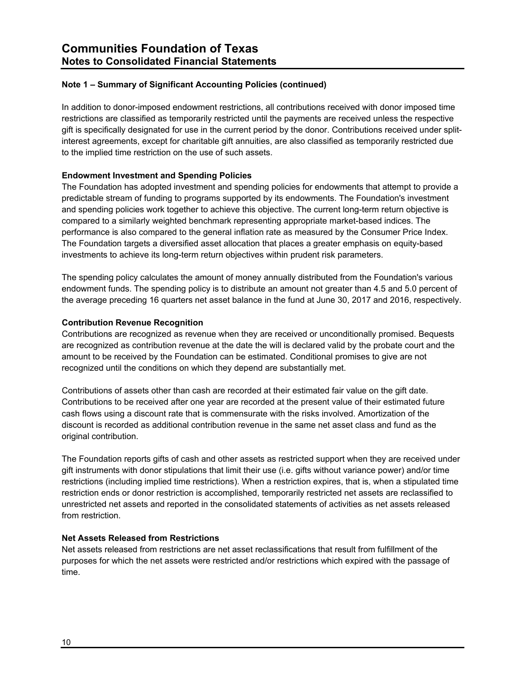In addition to donor-imposed endowment restrictions, all contributions received with donor imposed time restrictions are classified as temporarily restricted until the payments are received unless the respective gift is specifically designated for use in the current period by the donor. Contributions received under splitinterest agreements, except for charitable gift annuities, are also classified as temporarily restricted due to the implied time restriction on the use of such assets.

# **Endowment Investment and Spending Policies**

The Foundation has adopted investment and spending policies for endowments that attempt to provide a predictable stream of funding to programs supported by its endowments. The Foundation's investment and spending policies work together to achieve this objective. The current long-term return objective is compared to a similarly weighted benchmark representing appropriate market-based indices. The performance is also compared to the general inflation rate as measured by the Consumer Price Index. The Foundation targets a diversified asset allocation that places a greater emphasis on equity-based investments to achieve its long-term return objectives within prudent risk parameters.

The spending policy calculates the amount of money annually distributed from the Foundation's various endowment funds. The spending policy is to distribute an amount not greater than 4.5 and 5.0 percent of the average preceding 16 quarters net asset balance in the fund at June 30, 2017 and 2016, respectively.

#### **Contribution Revenue Recognition**

Contributions are recognized as revenue when they are received or unconditionally promised. Bequests are recognized as contribution revenue at the date the will is declared valid by the probate court and the amount to be received by the Foundation can be estimated. Conditional promises to give are not recognized until the conditions on which they depend are substantially met.

Contributions of assets other than cash are recorded at their estimated fair value on the gift date. Contributions to be received after one year are recorded at the present value of their estimated future cash flows using a discount rate that is commensurate with the risks involved. Amortization of the discount is recorded as additional contribution revenue in the same net asset class and fund as the original contribution.

The Foundation reports gifts of cash and other assets as restricted support when they are received under gift instruments with donor stipulations that limit their use (i.e. gifts without variance power) and/or time restrictions (including implied time restrictions). When a restriction expires, that is, when a stipulated time restriction ends or donor restriction is accomplished, temporarily restricted net assets are reclassified to unrestricted net assets and reported in the consolidated statements of activities as net assets released from restriction.

#### **Net Assets Released from Restrictions**

Net assets released from restrictions are net asset reclassifications that result from fulfillment of the purposes for which the net assets were restricted and/or restrictions which expired with the passage of time.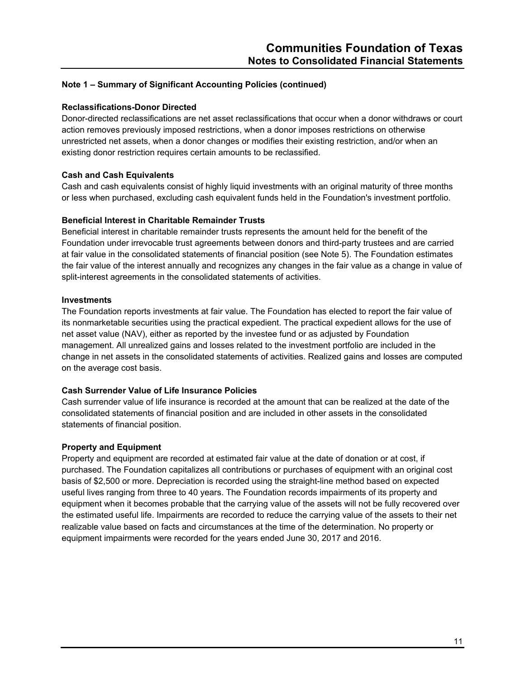#### **Reclassifications-Donor Directed**

Donor-directed reclassifications are net asset reclassifications that occur when a donor withdraws or court action removes previously imposed restrictions, when a donor imposes restrictions on otherwise unrestricted net assets, when a donor changes or modifies their existing restriction, and/or when an existing donor restriction requires certain amounts to be reclassified.

#### **Cash and Cash Equivalents**

Cash and cash equivalents consist of highly liquid investments with an original maturity of three months or less when purchased, excluding cash equivalent funds held in the Foundation's investment portfolio.

#### **Beneficial Interest in Charitable Remainder Trusts**

Beneficial interest in charitable remainder trusts represents the amount held for the benefit of the Foundation under irrevocable trust agreements between donors and third-party trustees and are carried at fair value in the consolidated statements of financial position (see Note 5). The Foundation estimates the fair value of the interest annually and recognizes any changes in the fair value as a change in value of split-interest agreements in the consolidated statements of activities.

#### **Investments**

The Foundation reports investments at fair value. The Foundation has elected to report the fair value of its nonmarketable securities using the practical expedient. The practical expedient allows for the use of net asset value (NAV), either as reported by the investee fund or as adjusted by Foundation management. All unrealized gains and losses related to the investment portfolio are included in the change in net assets in the consolidated statements of activities. Realized gains and losses are computed on the average cost basis.

#### **Cash Surrender Value of Life Insurance Policies**

Cash surrender value of life insurance is recorded at the amount that can be realized at the date of the consolidated statements of financial position and are included in other assets in the consolidated statements of financial position.

#### **Property and Equipment**

Property and equipment are recorded at estimated fair value at the date of donation or at cost, if purchased. The Foundation capitalizes all contributions or purchases of equipment with an original cost basis of \$2,500 or more. Depreciation is recorded using the straight-line method based on expected useful lives ranging from three to 40 years. The Foundation records impairments of its property and equipment when it becomes probable that the carrying value of the assets will not be fully recovered over the estimated useful life. Impairments are recorded to reduce the carrying value of the assets to their net realizable value based on facts and circumstances at the time of the determination. No property or equipment impairments were recorded for the years ended June 30, 2017 and 2016.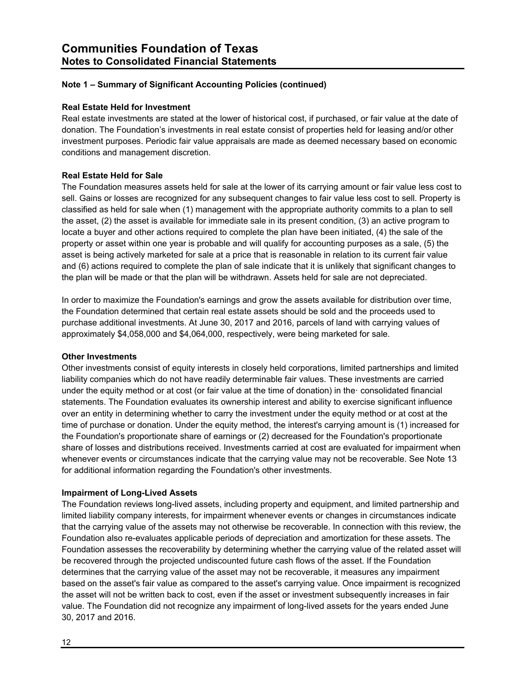#### **Real Estate Held for Investment**

Real estate investments are stated at the lower of historical cost, if purchased, or fair value at the date of donation. The Foundation's investments in real estate consist of properties held for leasing and/or other investment purposes. Periodic fair value appraisals are made as deemed necessary based on economic conditions and management discretion.

#### **Real Estate Held for Sale**

The Foundation measures assets held for sale at the lower of its carrying amount or fair value less cost to sell. Gains or losses are recognized for any subsequent changes to fair value less cost to sell. Property is classified as held for sale when (1) management with the appropriate authority commits to a plan to sell the asset, (2) the asset is available for immediate sale in its present condition, (3) an active program to locate a buyer and other actions required to complete the plan have been initiated, (4) the sale of the property or asset within one year is probable and will qualify for accounting purposes as a sale, (5) the asset is being actively marketed for sale at a price that is reasonable in relation to its current fair value and (6) actions required to complete the plan of sale indicate that it is unlikely that significant changes to the plan will be made or that the plan will be withdrawn. Assets held for sale are not depreciated.

In order to maximize the Foundation's earnings and grow the assets available for distribution over time, the Foundation determined that certain real estate assets should be sold and the proceeds used to purchase additional investments. At June 30, 2017 and 2016, parcels of land with carrying values of approximately \$4,058,000 and \$4,064,000, respectively, were being marketed for sale.

#### **Other Investments**

Other investments consist of equity interests in closely held corporations, limited partnerships and limited liability companies which do not have readily determinable fair values. These investments are carried under the equity method or at cost (or fair value at the time of donation) in the· consolidated financial statements. The Foundation evaluates its ownership interest and ability to exercise significant influence over an entity in determining whether to carry the investment under the equity method or at cost at the time of purchase or donation. Under the equity method, the interest's carrying amount is (1) increased for the Foundation's proportionate share of earnings or (2) decreased for the Foundation's proportionate share of losses and distributions received. Investments carried at cost are evaluated for impairment when whenever events or circumstances indicate that the carrying value may not be recoverable. See Note 13 for additional information regarding the Foundation's other investments.

#### **Impairment of Long-Lived Assets**

The Foundation reviews long-lived assets, including property and equipment, and limited partnership and limited liability company interests, for impairment whenever events or changes in circumstances indicate that the carrying value of the assets may not otherwise be recoverable. In connection with this review, the Foundation also re-evaluates applicable periods of depreciation and amortization for these assets. The Foundation assesses the recoverability by determining whether the carrying value of the related asset will be recovered through the projected undiscounted future cash flows of the asset. If the Foundation determines that the carrying value of the asset may not be recoverable, it measures any impairment based on the asset's fair value as compared to the asset's carrying value. Once impairment is recognized the asset will not be written back to cost, even if the asset or investment subsequently increases in fair value. The Foundation did not recognize any impairment of long-lived assets for the years ended June 30, 2017 and 2016.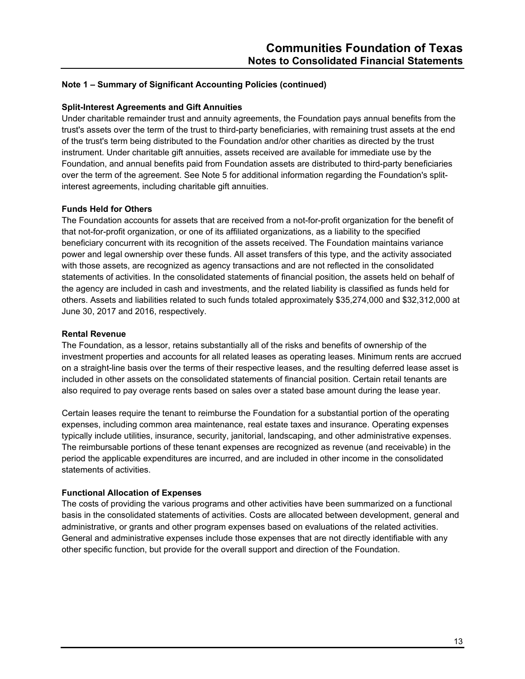#### **Split-Interest Agreements and Gift Annuities**

Under charitable remainder trust and annuity agreements, the Foundation pays annual benefits from the trust's assets over the term of the trust to third-party beneficiaries, with remaining trust assets at the end of the trust's term being distributed to the Foundation and/or other charities as directed by the trust instrument. Under charitable gift annuities, assets received are available for immediate use by the Foundation, and annual benefits paid from Foundation assets are distributed to third-party beneficiaries over the term of the agreement. See Note 5 for additional information regarding the Foundation's splitinterest agreements, including charitable gift annuities.

#### **Funds Held for Others**

The Foundation accounts for assets that are received from a not-for-profit organization for the benefit of that not-for-profit organization, or one of its affiliated organizations, as a liability to the specified beneficiary concurrent with its recognition of the assets received. The Foundation maintains variance power and legal ownership over these funds. All asset transfers of this type, and the activity associated with those assets, are recognized as agency transactions and are not reflected in the consolidated statements of activities. In the consolidated statements of financial position, the assets held on behalf of the agency are included in cash and investments, and the related liability is classified as funds held for others. Assets and liabilities related to such funds totaled approximately \$35,274,000 and \$32,312,000 at June 30, 2017 and 2016, respectively.

#### **Rental Revenue**

The Foundation, as a lessor, retains substantially all of the risks and benefits of ownership of the investment properties and accounts for all related leases as operating leases. Minimum rents are accrued on a straight-line basis over the terms of their respective leases, and the resulting deferred lease asset is included in other assets on the consolidated statements of financial position. Certain retail tenants are also required to pay overage rents based on sales over a stated base amount during the lease year.

Certain leases require the tenant to reimburse the Foundation for a substantial portion of the operating expenses, including common area maintenance, real estate taxes and insurance. Operating expenses typically include utilities, insurance, security, janitorial, landscaping, and other administrative expenses. The reimbursable portions of these tenant expenses are recognized as revenue (and receivable) in the period the applicable expenditures are incurred, and are included in other income in the consolidated statements of activities.

#### **Functional Allocation of Expenses**

The costs of providing the various programs and other activities have been summarized on a functional basis in the consolidated statements of activities. Costs are allocated between development, general and administrative, or grants and other program expenses based on evaluations of the related activities. General and administrative expenses include those expenses that are not directly identifiable with any other specific function, but provide for the overall support and direction of the Foundation.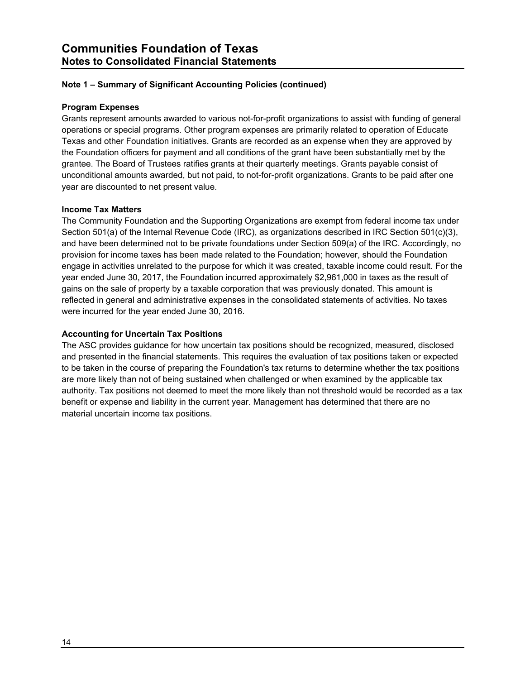#### **Program Expenses**

Grants represent amounts awarded to various not-for-profit organizations to assist with funding of general operations or special programs. Other program expenses are primarily related to operation of Educate Texas and other Foundation initiatives. Grants are recorded as an expense when they are approved by the Foundation officers for payment and all conditions of the grant have been substantially met by the grantee. The Board of Trustees ratifies grants at their quarterly meetings. Grants payable consist of unconditional amounts awarded, but not paid, to not-for-profit organizations. Grants to be paid after one year are discounted to net present value.

# **Income Tax Matters**

The Community Foundation and the Supporting Organizations are exempt from federal income tax under Section 501(a) of the Internal Revenue Code (IRC), as organizations described in IRC Section 501(c)(3), and have been determined not to be private foundations under Section 509(a) of the IRC. Accordingly, no provision for income taxes has been made related to the Foundation; however, should the Foundation engage in activities unrelated to the purpose for which it was created, taxable income could result. For the year ended June 30, 2017, the Foundation incurred approximately \$2,961,000 in taxes as the result of gains on the sale of property by a taxable corporation that was previously donated. This amount is reflected in general and administrative expenses in the consolidated statements of activities. No taxes were incurred for the year ended June 30, 2016.

#### **Accounting for Uncertain Tax Positions**

The ASC provides guidance for how uncertain tax positions should be recognized, measured, disclosed and presented in the financial statements. This requires the evaluation of tax positions taken or expected to be taken in the course of preparing the Foundation's tax returns to determine whether the tax positions are more likely than not of being sustained when challenged or when examined by the applicable tax authority. Tax positions not deemed to meet the more likely than not threshold would be recorded as a tax benefit or expense and liability in the current year. Management has determined that there are no material uncertain income tax positions.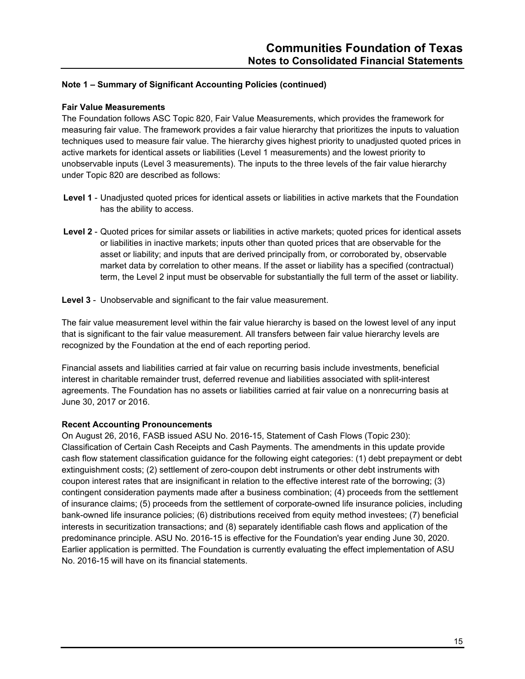#### **Fair Value Measurements**

The Foundation follows ASC Topic 820, Fair Value Measurements, which provides the framework for measuring fair value. The framework provides a fair value hierarchy that prioritizes the inputs to valuation techniques used to measure fair value. The hierarchy gives highest priority to unadjusted quoted prices in active markets for identical assets or liabilities (Level 1 measurements) and the lowest priority to unobservable inputs (Level 3 measurements). The inputs to the three levels of the fair value hierarchy under Topic 820 are described as follows:

- **Level 1** Unadjusted quoted prices for identical assets or liabilities in active markets that the Foundation has the ability to access.
- **Level 2** Quoted prices for similar assets or liabilities in active markets; quoted prices for identical assets or liabilities in inactive markets; inputs other than quoted prices that are observable for the asset or liability; and inputs that are derived principally from, or corroborated by, observable market data by correlation to other means. If the asset or liability has a specified (contractual) term, the Level 2 input must be observable for substantially the full term of the asset or liability.
- **Level 3** Unobservable and significant to the fair value measurement.

The fair value measurement level within the fair value hierarchy is based on the lowest level of any input that is significant to the fair value measurement. All transfers between fair value hierarchy levels are recognized by the Foundation at the end of each reporting period.

Financial assets and liabilities carried at fair value on recurring basis include investments, beneficial interest in charitable remainder trust, deferred revenue and liabilities associated with split-interest agreements. The Foundation has no assets or liabilities carried at fair value on a nonrecurring basis at June 30, 2017 or 2016.

#### **Recent Accounting Pronouncements**

On August 26, 2016, FASB issued ASU No. 2016-15, Statement of Cash Flows (Topic 230): Classification of Certain Cash Receipts and Cash Payments. The amendments in this update provide cash flow statement classification guidance for the following eight categories: (1) debt prepayment or debt extinguishment costs; (2) settlement of zero-coupon debt instruments or other debt instruments with coupon interest rates that are insignificant in relation to the effective interest rate of the borrowing; (3) contingent consideration payments made after a business combination; (4) proceeds from the settlement of insurance claims; (5) proceeds from the settlement of corporate-owned life insurance policies, including bank-owned life insurance policies; (6) distributions received from equity method investees; (7) beneficial interests in securitization transactions; and (8) separately identifiable cash flows and application of the predominance principle. ASU No. 2016-15 is effective for the Foundation's year ending June 30, 2020. Earlier application is permitted. The Foundation is currently evaluating the effect implementation of ASU No. 2016-15 will have on its financial statements.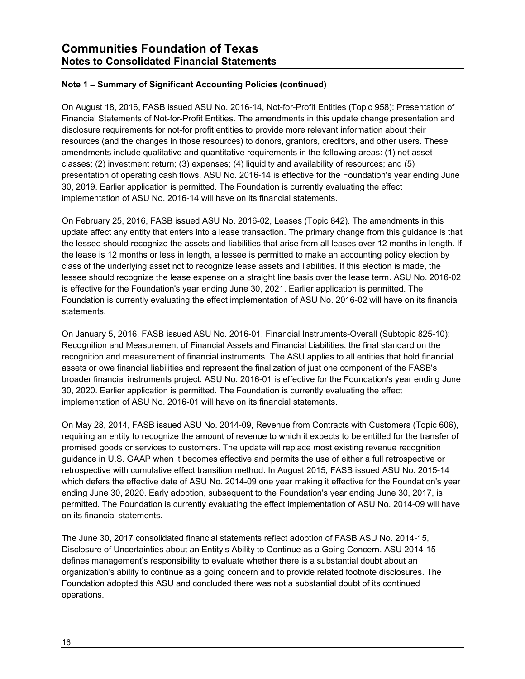On August 18, 2016, FASB issued ASU No. 2016-14, Not-for-Profit Entities (Topic 958): Presentation of Financial Statements of Not-for-Profit Entities. The amendments in this update change presentation and disclosure requirements for not-for profit entities to provide more relevant information about their resources (and the changes in those resources) to donors, grantors, creditors, and other users. These amendments include qualitative and quantitative requirements in the following areas: (1) net asset classes; (2) investment return; (3) expenses; (4) liquidity and availability of resources; and (5) presentation of operating cash flows. ASU No. 2016-14 is effective for the Foundation's year ending June 30, 2019. Earlier application is permitted. The Foundation is currently evaluating the effect implementation of ASU No. 2016-14 will have on its financial statements.

On February 25, 2016, FASB issued ASU No. 2016-02, Leases (Topic 842). The amendments in this update affect any entity that enters into a lease transaction. The primary change from this guidance is that the lessee should recognize the assets and liabilities that arise from all leases over 12 months in length. If the lease is 12 months or less in length, a lessee is permitted to make an accounting policy election by class of the underlying asset not to recognize lease assets and liabilities. If this election is made, the lessee should recognize the lease expense on a straight line basis over the lease term. ASU No. 2016-02 is effective for the Foundation's year ending June 30, 2021. Earlier application is permitted. The Foundation is currently evaluating the effect implementation of ASU No. 2016-02 will have on its financial statements.

On January 5, 2016, FASB issued ASU No. 2016-01, Financial Instruments-Overall (Subtopic 825-10): Recognition and Measurement of Financial Assets and Financial Liabilities, the final standard on the recognition and measurement of financial instruments. The ASU applies to all entities that hold financial assets or owe financial liabilities and represent the finalization of just one component of the FASB's broader financial instruments project. ASU No. 2016-01 is effective for the Foundation's year ending June 30, 2020. Earlier application is permitted. The Foundation is currently evaluating the effect implementation of ASU No. 2016-01 will have on its financial statements.

On May 28, 2014, FASB issued ASU No. 2014-09, Revenue from Contracts with Customers (Topic 606), requiring an entity to recognize the amount of revenue to which it expects to be entitled for the transfer of promised goods or services to customers. The update will replace most existing revenue recognition guidance in U.S. GAAP when it becomes effective and permits the use of either a full retrospective or retrospective with cumulative effect transition method. In August 2015, FASB issued ASU No. 2015-14 which defers the effective date of ASU No. 2014-09 one year making it effective for the Foundation's year ending June 30, 2020. Early adoption, subsequent to the Foundation's year ending June 30, 2017, is permitted. The Foundation is currently evaluating the effect implementation of ASU No. 2014-09 will have on its financial statements.

The June 30, 2017 consolidated financial statements reflect adoption of FASB ASU No. 2014-15, Disclosure of Uncertainties about an Entity's Ability to Continue as a Going Concern. ASU 2014-15 defines management's responsibility to evaluate whether there is a substantial doubt about an organization's ability to continue as a going concern and to provide related footnote disclosures. The Foundation adopted this ASU and concluded there was not a substantial doubt of its continued operations.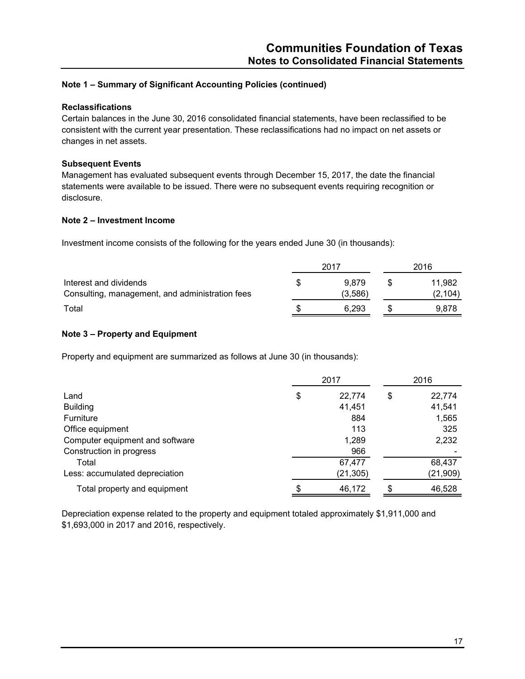#### **Reclassifications**

Certain balances in the June 30, 2016 consolidated financial statements, have been reclassified to be consistent with the current year presentation. These reclassifications had no impact on net assets or changes in net assets.

#### **Subsequent Events**

Management has evaluated subsequent events through December 15, 2017, the date the financial statements were available to be issued. There were no subsequent events requiring recognition or disclosure.

#### **Note 2 – Investment Income**

Investment income consists of the following for the years ended June 30 (in thousands):

|                                                                           |   | 2017             | 2016 |                    |  |
|---------------------------------------------------------------------------|---|------------------|------|--------------------|--|
| Interest and dividends<br>Consulting, management, and administration fees | S | 9.879<br>(3,586) |      | 11.982<br>(2, 104) |  |
| Total                                                                     | S | 6.293            |      | 9.878              |  |

#### **Note 3 – Property and Equipment**

Property and equipment are summarized as follows at June 30 (in thousands):

|                                 | 2017         |    |           |
|---------------------------------|--------------|----|-----------|
| Land                            | \$<br>22,774 | \$ | 22,774    |
| <b>Building</b>                 | 41,451       |    | 41,541    |
| Furniture                       | 884          |    | 1,565     |
| Office equipment                | 113          |    | 325       |
| Computer equipment and software | 1,289        |    | 2,232     |
| Construction in progress        | 966          |    |           |
| Total                           | 67,477       |    | 68,437    |
| Less: accumulated depreciation  | (21, 305)    |    | (21, 909) |
| Total property and equipment    | \$<br>46,172 |    | 46,528    |

Depreciation expense related to the property and equipment totaled approximately \$1,911,000 and \$1,693,000 in 2017 and 2016, respectively.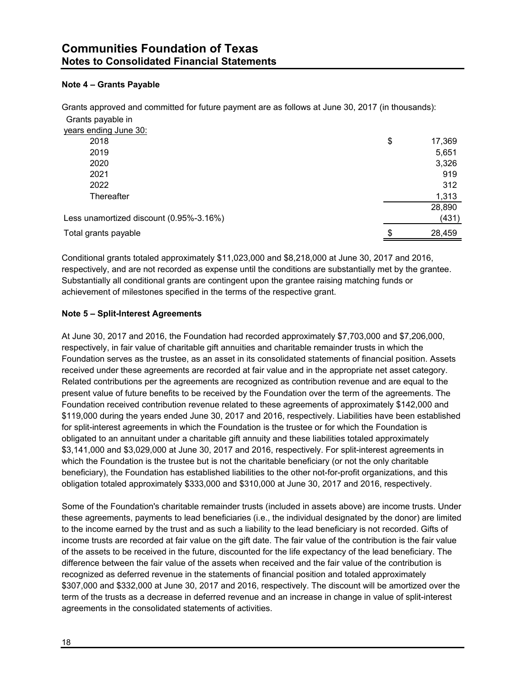# **Note 4 – Grants Payable**

Grants approved and committed for future payment are as follows at June 30, 2017 (in thousands): Grants payable in

| years ending June 30:<br>2018<br>17,369<br>\$<br>2019<br>5,651<br>3,326<br>2020<br>919<br>2021<br>312<br>2022<br>1,313<br>Thereafter<br>28,890<br>Less unamortized discount (0.95%-3.16%)<br>(431)<br>28,459<br>Total grants payable<br>S |  |  |
|-------------------------------------------------------------------------------------------------------------------------------------------------------------------------------------------------------------------------------------------|--|--|
|                                                                                                                                                                                                                                           |  |  |
|                                                                                                                                                                                                                                           |  |  |
|                                                                                                                                                                                                                                           |  |  |
|                                                                                                                                                                                                                                           |  |  |
|                                                                                                                                                                                                                                           |  |  |
|                                                                                                                                                                                                                                           |  |  |
|                                                                                                                                                                                                                                           |  |  |
|                                                                                                                                                                                                                                           |  |  |
|                                                                                                                                                                                                                                           |  |  |
|                                                                                                                                                                                                                                           |  |  |

Conditional grants totaled approximately \$11,023,000 and \$8,218,000 at June 30, 2017 and 2016, respectively, and are not recorded as expense until the conditions are substantially met by the grantee. Substantially all conditional grants are contingent upon the grantee raising matching funds or achievement of milestones specified in the terms of the respective grant.

#### **Note 5 – Split-Interest Agreements**

At June 30, 2017 and 2016, the Foundation had recorded approximately \$7,703,000 and \$7,206,000, respectively, in fair value of charitable gift annuities and charitable remainder trusts in which the Foundation serves as the trustee, as an asset in its consolidated statements of financial position. Assets received under these agreements are recorded at fair value and in the appropriate net asset category. Related contributions per the agreements are recognized as contribution revenue and are equal to the present value of future benefits to be received by the Foundation over the term of the agreements. The Foundation received contribution revenue related to these agreements of approximately \$142,000 and \$119,000 during the years ended June 30, 2017 and 2016, respectively. Liabilities have been established for split-interest agreements in which the Foundation is the trustee or for which the Foundation is obligated to an annuitant under a charitable gift annuity and these liabilities totaled approximately \$3,141,000 and \$3,029,000 at June 30, 2017 and 2016, respectively. For split-interest agreements in which the Foundation is the trustee but is not the charitable beneficiary (or not the only charitable beneficiary), the Foundation has established liabilities to the other not-for-profit organizations, and this obligation totaled approximately \$333,000 and \$310,000 at June 30, 2017 and 2016, respectively.

Some of the Foundation's charitable remainder trusts (included in assets above) are income trusts. Under these agreements, payments to lead beneficiaries (i.e., the individual designated by the donor) are limited to the income earned by the trust and as such a liability to the lead beneficiary is not recorded. Gifts of income trusts are recorded at fair value on the gift date. The fair value of the contribution is the fair value of the assets to be received in the future, discounted for the life expectancy of the lead beneficiary. The difference between the fair value of the assets when received and the fair value of the contribution is recognized as deferred revenue in the statements of financial position and totaled approximately \$307,000 and \$332,000 at June 30, 2017 and 2016, respectively. The discount will be amortized over the term of the trusts as a decrease in deferred revenue and an increase in change in value of split-interest agreements in the consolidated statements of activities.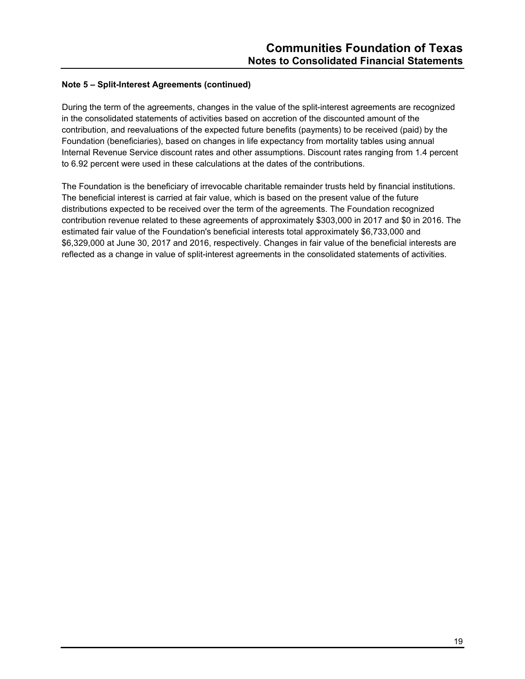# **Note 5 – Split-Interest Agreements (continued)**

During the term of the agreements, changes in the value of the split-interest agreements are recognized in the consolidated statements of activities based on accretion of the discounted amount of the contribution, and reevaluations of the expected future benefits (payments) to be received (paid) by the Foundation (beneficiaries), based on changes in life expectancy from mortality tables using annual Internal Revenue Service discount rates and other assumptions. Discount rates ranging from 1.4 percent to 6.92 percent were used in these calculations at the dates of the contributions.

The Foundation is the beneficiary of irrevocable charitable remainder trusts held by financial institutions. The beneficial interest is carried at fair value, which is based on the present value of the future distributions expected to be received over the term of the agreements. The Foundation recognized contribution revenue related to these agreements of approximately \$303,000 in 2017 and \$0 in 2016. The estimated fair value of the Foundation's beneficial interests total approximately \$6,733,000 and \$6,329,000 at June 30, 2017 and 2016, respectively. Changes in fair value of the beneficial interests are reflected as a change in value of split-interest agreements in the consolidated statements of activities.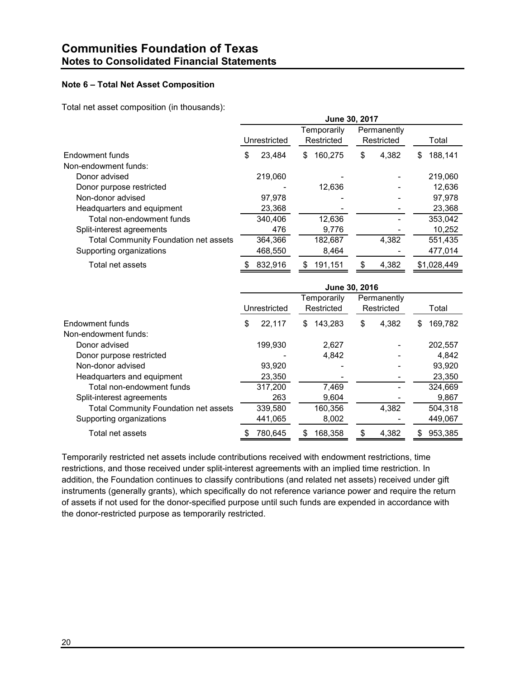# **Note 6 – Total Net Asset Composition**

Total net asset composition (in thousands):

|                                              | June 30, 2017 |              |     |                           |     |                           |   |             |  |
|----------------------------------------------|---------------|--------------|-----|---------------------------|-----|---------------------------|---|-------------|--|
|                                              |               | Unrestricted |     | Temporarily<br>Restricted |     | Permanently<br>Restricted |   | Total       |  |
| Endowment funds                              | \$            | 23,484       | \$. | 160,275                   | \$  | 4,382                     | S | 188,141     |  |
| Non-endowment funds:                         |               |              |     |                           |     |                           |   |             |  |
| Donor advised                                |               | 219,060      |     |                           |     |                           |   | 219,060     |  |
| Donor purpose restricted                     |               |              |     | 12,636                    |     |                           |   | 12,636      |  |
| Non-donor advised                            |               | 97.978       |     |                           |     |                           |   | 97,978      |  |
| Headquarters and equipment                   |               | 23,368       |     |                           |     |                           |   | 23,368      |  |
| Total non-endowment funds                    |               | 340,406      |     | 12,636                    |     |                           |   | 353,042     |  |
| Split-interest agreements                    |               | 476          |     | 9,776                     |     |                           |   | 10,252      |  |
| <b>Total Community Foundation net assets</b> |               | 364,366      |     | 182,687                   |     | 4,382                     |   | 551,435     |  |
| Supporting organizations                     |               | 468,550      |     | 8,464                     |     |                           |   | 477,014     |  |
| Total net assets                             |               | 832,916      | S   | 191,151                   | \$. | 4,382                     |   | \$1,028,449 |  |
|                                              |               |              |     |                           |     |                           |   |             |  |

|                                              | June 30, 2016 |                                                                        |    |         |    |       |   |         |  |
|----------------------------------------------|---------------|------------------------------------------------------------------------|----|---------|----|-------|---|---------|--|
|                                              |               | Permanently<br>Temporarily<br>Unrestricted<br>Restricted<br>Restricted |    |         |    | Total |   |         |  |
| Endowment funds                              | \$            | 22,117                                                                 | S  | 143.283 | \$ | 4,382 | S | 169.782 |  |
| Non-endowment funds:                         |               |                                                                        |    |         |    |       |   |         |  |
| Donor advised                                |               | 199,930                                                                |    | 2,627   |    |       |   | 202,557 |  |
| Donor purpose restricted                     |               |                                                                        |    | 4,842   |    |       |   | 4,842   |  |
| Non-donor advised                            |               | 93.920                                                                 |    |         |    |       |   | 93.920  |  |
| Headquarters and equipment                   |               | 23,350                                                                 |    |         |    |       |   | 23,350  |  |
| Total non-endowment funds                    |               | 317,200                                                                |    | 7.469   |    |       |   | 324.669 |  |
| Split-interest agreements                    |               | 263                                                                    |    | 9,604   |    |       |   | 9,867   |  |
| <b>Total Community Foundation net assets</b> |               | 339,580                                                                |    | 160,356 |    | 4.382 |   | 504,318 |  |
| Supporting organizations                     |               | 441,065                                                                |    | 8,002   |    |       |   | 449,067 |  |
| Total net assets                             |               | 780.645                                                                | 55 | 168,358 | S  | 4,382 | S | 953.385 |  |

Temporarily restricted net assets include contributions received with endowment restrictions, time restrictions, and those received under split-interest agreements with an implied time restriction. In addition, the Foundation continues to classify contributions (and related net assets) received under gift instruments (generally grants), which specifically do not reference variance power and require the return of assets if not used for the donor-specified purpose until such funds are expended in accordance with the donor-restricted purpose as temporarily restricted.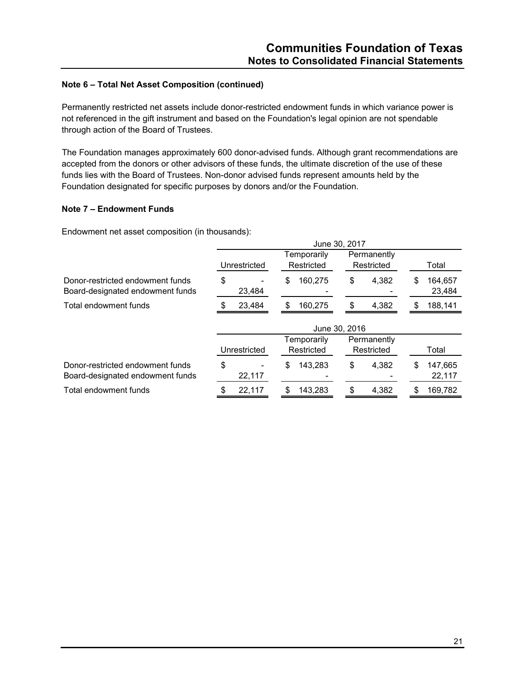# **Note 6 – Total Net Asset Composition (continued)**

Permanently restricted net assets include donor-restricted endowment funds in which variance power is not referenced in the gift instrument and based on the Foundation's legal opinion are not spendable through action of the Board of Trustees.

The Foundation manages approximately 600 donor-advised funds. Although grant recommendations are accepted from the donors or other advisors of these funds, the ultimate discretion of the use of these funds lies with the Board of Trustees. Non-donor advised funds represent amounts held by the Foundation designated for specific purposes by donors and/or the Foundation.

#### **Note 7 – Endowment Funds**

Endowment net asset composition (in thousands):

|                                                                      | June 30, 2017 |               |               |                         |  |  |  |  |  |
|----------------------------------------------------------------------|---------------|---------------|---------------|-------------------------|--|--|--|--|--|
|                                                                      |               | Temporarily   |               |                         |  |  |  |  |  |
|                                                                      | Unrestricted  | Restricted    | Restricted    | Total                   |  |  |  |  |  |
| Donor-restricted endowment funds                                     | \$            | 160,275<br>\$ | \$<br>4,382   | 164,657<br>\$           |  |  |  |  |  |
| Board-designated endowment funds                                     | 23,484        |               |               | 23,484                  |  |  |  |  |  |
| Total endowment funds                                                | 23,484        | 160,275<br>\$ | \$<br>4,382   | 188,141<br>\$           |  |  |  |  |  |
|                                                                      |               |               | June 30, 2016 |                         |  |  |  |  |  |
|                                                                      |               | Temporarily   | Permanently   |                         |  |  |  |  |  |
|                                                                      | Unrestricted  | Restricted    | Restricted    | Total                   |  |  |  |  |  |
| Donor-restricted endowment funds<br>Board-designated endowment funds | \$<br>22,117  | \$<br>143.283 | \$<br>4,382   | \$<br>147,665<br>22,117 |  |  |  |  |  |
| Total endowment funds                                                | 22,117        | 143,283       | \$<br>4,382   | 169,782                 |  |  |  |  |  |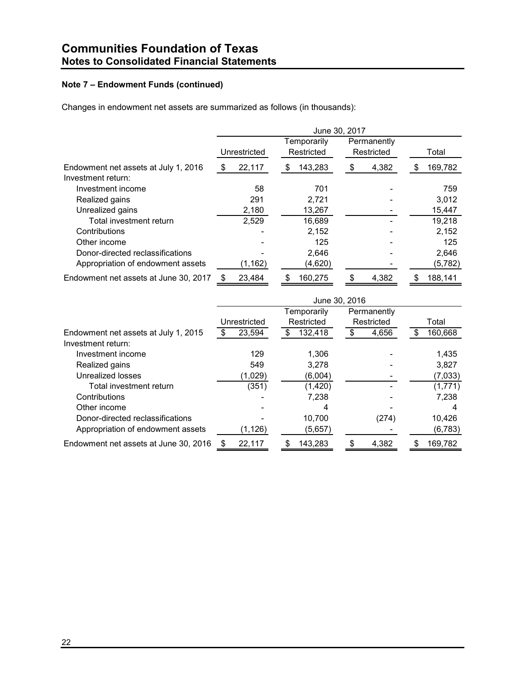# **Note 7 – Endowment Funds (continued)**

Changes in endowment net assets are summarized as follows (in thousands):

|                                                            | June 30, 2017 |              |   |                           |    |                           |    |          |
|------------------------------------------------------------|---------------|--------------|---|---------------------------|----|---------------------------|----|----------|
|                                                            |               | Unrestricted |   | Temporarily<br>Restricted |    | Permanently<br>Restricted |    | Total    |
| Endowment net assets at July 1, 2016<br>Investment return: | \$            | 22,117       | S | 143,283                   | \$ | 4,382                     | \$ | 169,782  |
| Investment income                                          |               | 58           |   | 701                       |    |                           |    | 759      |
| Realized gains                                             |               | 291          |   | 2,721                     |    |                           |    | 3,012    |
| Unrealized gains                                           |               | 2,180        |   | 13,267                    |    |                           |    | 15,447   |
| Total investment return                                    |               | 2,529        |   | 16,689                    |    |                           |    | 19,218   |
| Contributions                                              |               |              |   | 2,152                     |    |                           |    | 2,152    |
| Other income                                               |               |              |   | 125                       |    |                           |    | 125      |
| Donor-directed reclassifications                           |               |              |   | 2,646                     |    |                           |    | 2,646    |
| Appropriation of endowment assets                          |               | (1, 162)     |   | (4,620)                   |    |                           |    | (5, 782) |
| Endowment net assets at June 30, 2017                      |               | 23,484       |   | 160,275                   |    | 4,382                     |    | 188,141  |

|                                       | June 30, 2016 |              |  |             |    |             |  |          |
|---------------------------------------|---------------|--------------|--|-------------|----|-------------|--|----------|
|                                       |               |              |  | Temporarily |    | Permanently |  |          |
|                                       |               | Unrestricted |  | Restricted  |    | Restricted  |  | Total    |
| Endowment net assets at July 1, 2015  |               | 23,594       |  | 132,418     |    | 4,656       |  | 160,668  |
| Investment return:                    |               |              |  |             |    |             |  |          |
| Investment income                     |               | 129          |  | 1,306       |    |             |  | 1,435    |
| Realized gains                        |               | 549          |  | 3,278       |    |             |  | 3,827    |
| Unrealized losses                     |               | (1,029)      |  | (6,004)     |    |             |  | (7,033)  |
| Total investment return               |               | (351)        |  | (1,420)     |    |             |  | (1,771)  |
| Contributions                         |               |              |  | 7.238       |    |             |  | 7,238    |
| Other income                          |               |              |  | 4           |    |             |  | 4        |
| Donor-directed reclassifications      |               |              |  | 10,700      |    | (274)       |  | 10,426   |
| Appropriation of endowment assets     |               | (1, 126)     |  | (5,657)     |    |             |  | (6, 783) |
| Endowment net assets at June 30, 2016 | \$.           | 22,117       |  | 143,283     | \$ | 4,382       |  | 169,782  |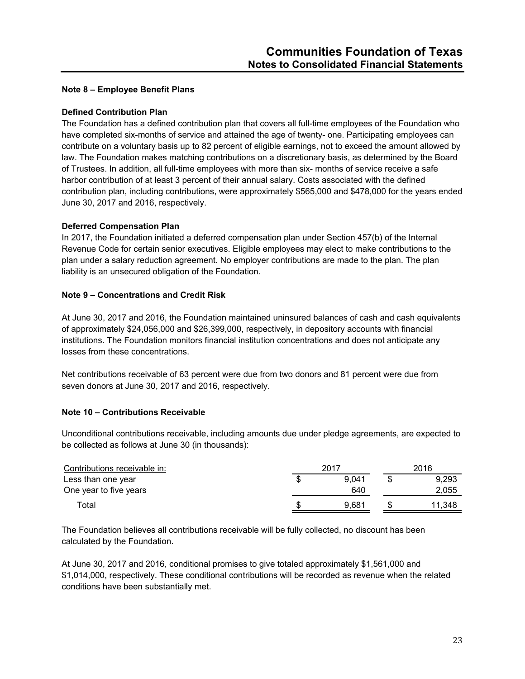#### **Note 8 – Employee Benefit Plans**

## **Defined Contribution Plan**

The Foundation has a defined contribution plan that covers all full-time employees of the Foundation who have completed six-months of service and attained the age of twenty- one. Participating employees can contribute on a voluntary basis up to 82 percent of eligible earnings, not to exceed the amount allowed by law. The Foundation makes matching contributions on a discretionary basis, as determined by the Board of Trustees. In addition, all full-time employees with more than six- months of service receive a safe harbor contribution of at least 3 percent of their annual salary. Costs associated with the defined contribution plan, including contributions, were approximately \$565,000 and \$478,000 for the years ended June 30, 2017 and 2016, respectively.

# **Deferred Compensation Plan**

In 2017, the Foundation initiated a deferred compensation plan under Section 457(b) of the Internal Revenue Code for certain senior executives. Eligible employees may elect to make contributions to the plan under a salary reduction agreement. No employer contributions are made to the plan. The plan liability is an unsecured obligation of the Foundation.

# **Note 9 – Concentrations and Credit Risk**

At June 30, 2017 and 2016, the Foundation maintained uninsured balances of cash and cash equivalents of approximately \$24,056,000 and \$26,399,000, respectively, in depository accounts with financial institutions. The Foundation monitors financial institution concentrations and does not anticipate any losses from these concentrations.

Net contributions receivable of 63 percent were due from two donors and 81 percent were due from seven donors at June 30, 2017 and 2016, respectively.

# **Note 10 – Contributions Receivable**

Unconditional contributions receivable, including amounts due under pledge agreements, are expected to be collected as follows at June 30 (in thousands):

| Contributions receivable in: | 2017 |       | 2016   |  |
|------------------------------|------|-------|--------|--|
| Less than one year           |      | 9.041 | 9,293  |  |
| One year to five years       |      | 640   | 2,055  |  |
| Гоtal                        |      | 9.681 | 11.348 |  |

The Foundation believes all contributions receivable will be fully collected, no discount has been calculated by the Foundation.

At June 30, 2017 and 2016, conditional promises to give totaled approximately \$1,561,000 and \$1,014,000, respectively. These conditional contributions will be recorded as revenue when the related conditions have been substantially met.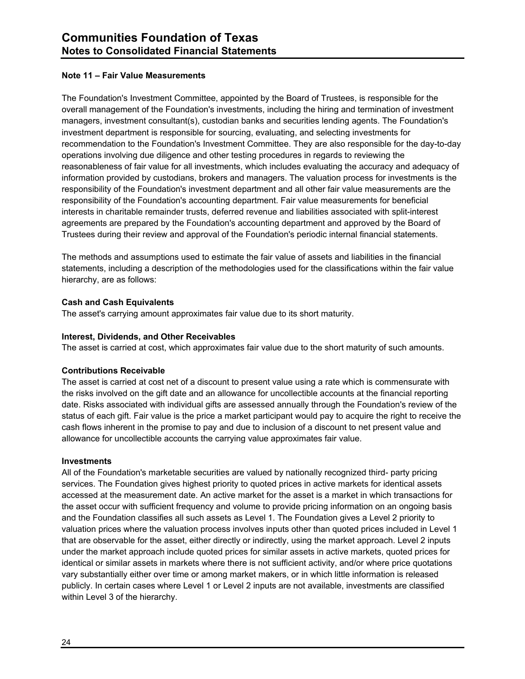#### **Note 11 – Fair Value Measurements**

The Foundation's Investment Committee, appointed by the Board of Trustees, is responsible for the overall management of the Foundation's investments, including the hiring and termination of investment managers, investment consultant(s), custodian banks and securities lending agents. The Foundation's investment department is responsible for sourcing, evaluating, and selecting investments for recommendation to the Foundation's Investment Committee. They are also responsible for the day-to-day operations involving due diligence and other testing procedures in regards to reviewing the reasonableness of fair value for all investments, which includes evaluating the accuracy and adequacy of information provided by custodians, brokers and managers. The valuation process for investments is the responsibility of the Foundation's investment department and all other fair value measurements are the responsibility of the Foundation's accounting department. Fair value measurements for beneficial interests in charitable remainder trusts, deferred revenue and liabilities associated with split-interest agreements are prepared by the Foundation's accounting department and approved by the Board of Trustees during their review and approval of the Foundation's periodic internal financial statements.

The methods and assumptions used to estimate the fair value of assets and liabilities in the financial statements, including a description of the methodologies used for the classifications within the fair value hierarchy, are as follows:

# **Cash and Cash Equivalents**

The asset's carrying amount approximates fair value due to its short maturity.

#### **Interest, Dividends, and Other Receivables**

The asset is carried at cost, which approximates fair value due to the short maturity of such amounts.

#### **Contributions Receivable**

The asset is carried at cost net of a discount to present value using a rate which is commensurate with the risks involved on the gift date and an allowance for uncollectible accounts at the financial reporting date. Risks associated with individual gifts are assessed annually through the Foundation's review of the status of each gift. Fair value is the price a market participant would pay to acquire the right to receive the cash flows inherent in the promise to pay and due to inclusion of a discount to net present value and allowance for uncollectible accounts the carrying value approximates fair value.

#### **Investments**

All of the Foundation's marketable securities are valued by nationally recognized third- party pricing services. The Foundation gives highest priority to quoted prices in active markets for identical assets accessed at the measurement date. An active market for the asset is a market in which transactions for the asset occur with sufficient frequency and volume to provide pricing information on an ongoing basis and the Foundation classifies all such assets as Level 1. The Foundation gives a Level 2 priority to valuation prices where the valuation process involves inputs other than quoted prices included in Level 1 that are observable for the asset, either directly or indirectly, using the market approach. Level 2 inputs under the market approach include quoted prices for similar assets in active markets, quoted prices for identical or similar assets in markets where there is not sufficient activity, and/or where price quotations vary substantially either over time or among market makers, or in which little information is released publicly. In certain cases where Level 1 or Level 2 inputs are not available, investments are classified within Level 3 of the hierarchy.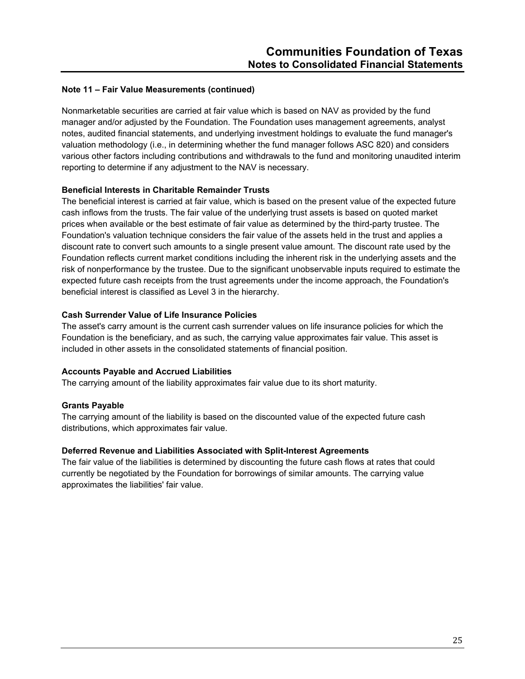Nonmarketable securities are carried at fair value which is based on NAV as provided by the fund manager and/or adjusted by the Foundation. The Foundation uses management agreements, analyst notes, audited financial statements, and underlying investment holdings to evaluate the fund manager's valuation methodology (i.e., in determining whether the fund manager follows ASC 820) and considers various other factors including contributions and withdrawals to the fund and monitoring unaudited interim reporting to determine if any adjustment to the NAV is necessary.

# **Beneficial Interests in Charitable Remainder Trusts**

The beneficial interest is carried at fair value, which is based on the present value of the expected future cash inflows from the trusts. The fair value of the underlying trust assets is based on quoted market prices when available or the best estimate of fair value as determined by the third-party trustee. The Foundation's valuation technique considers the fair value of the assets held in the trust and applies a discount rate to convert such amounts to a single present value amount. The discount rate used by the Foundation reflects current market conditions including the inherent risk in the underlying assets and the risk of nonperformance by the trustee. Due to the significant unobservable inputs required to estimate the expected future cash receipts from the trust agreements under the income approach, the Foundation's beneficial interest is classified as Level 3 in the hierarchy.

# **Cash Surrender Value of Life Insurance Policies**

The asset's carry amount is the current cash surrender values on life insurance policies for which the Foundation is the beneficiary, and as such, the carrying value approximates fair value. This asset is included in other assets in the consolidated statements of financial position.

#### **Accounts Payable and Accrued Liabilities**

The carrying amount of the liability approximates fair value due to its short maturity.

# **Grants Payable**

The carrying amount of the liability is based on the discounted value of the expected future cash distributions, which approximates fair value.

#### **Deferred Revenue and Liabilities Associated with Split-Interest Agreements**

The fair value of the liabilities is determined by discounting the future cash flows at rates that could currently be negotiated by the Foundation for borrowings of similar amounts. The carrying value approximates the liabilities' fair value.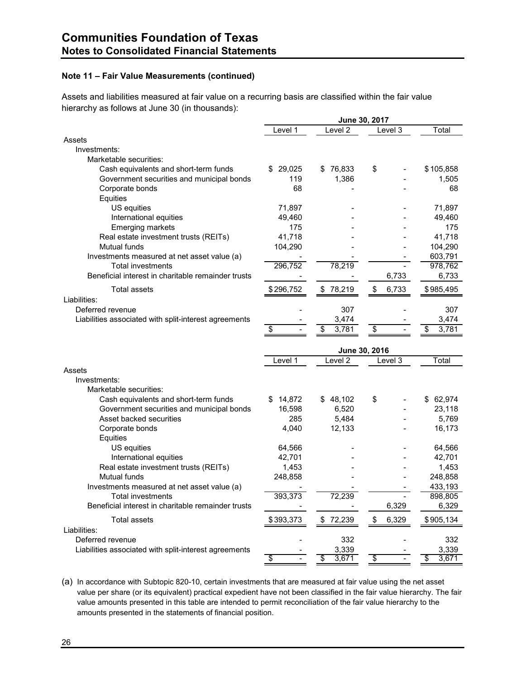Assets and liabilities measured at fair value on a recurring basis are classified within the fair value hierarchy as follows at June 30 (in thousands):

|                                                       |              | June 30, 2017      |             |             |
|-------------------------------------------------------|--------------|--------------------|-------------|-------------|
|                                                       | Level 1      | Level 2            | Level 3     | Total       |
| Assets                                                |              |                    |             |             |
| Investments:                                          |              |                    |             |             |
| Marketable securities:                                |              |                    |             |             |
| Cash equivalents and short-term funds                 | 29,025<br>S  | 76,833<br>\$       | \$          | \$105,858   |
| Government securities and municipal bonds             | 119          | 1,386              |             | 1,505       |
| Corporate bonds                                       | 68           |                    |             | 68          |
| Equities                                              |              |                    |             |             |
| US equities                                           | 71,897       |                    |             | 71,897      |
| International equities                                | 49,460       |                    |             | 49,460      |
| <b>Emerging markets</b>                               | 175          |                    |             | 175         |
| Real estate investment trusts (REITs)                 | 41,718       |                    |             | 41,718      |
| Mutual funds                                          | 104,290      |                    |             | 104,290     |
| Investments measured at net asset value (a)           |              |                    |             | 603,791     |
| <b>Total investments</b>                              | 296,752      | 78,219             |             | 978,762     |
| Beneficial interest in charitable remainder trusts    |              |                    | 6,733       | 6,733       |
|                                                       |              |                    |             |             |
| <b>Total assets</b>                                   | \$296,752    | \$78,219           | \$<br>6,733 | \$985,495   |
| Liabilities:                                          |              |                    |             |             |
| Deferred revenue                                      |              | 307                |             | 307         |
| Liabilities associated with split-interest agreements |              | 3,474              |             | 3,474       |
|                                                       | \$           | \$<br>3.781        | \$          | 3,781<br>\$ |
|                                                       |              |                    |             |             |
|                                                       |              |                    |             |             |
|                                                       |              | June 30, 2016      |             |             |
|                                                       | Level 1      | Level <sub>2</sub> | Level 3     | Total       |
| Assets                                                |              |                    |             |             |
| Investments:                                          |              |                    |             |             |
| Marketable securities:                                |              |                    |             |             |
| Cash equivalents and short-term funds                 | 14,872<br>\$ | \$48,102           | \$          | 62,974      |
| Government securities and municipal bonds             | 16,598       | 6,520              |             | 23,118      |
| Asset backed securities                               | 285          | 5,484              |             | 5,769       |
| Corporate bonds                                       | 4,040        | 12,133             |             | 16,173      |
| Equities                                              |              |                    |             |             |
| US equities                                           | 64,566       |                    |             | 64,566      |
| International equities                                | 42,701       |                    |             | 42,701      |
| Real estate investment trusts (REITs)                 | 1,453        |                    |             | 1,453       |
| Mutual funds                                          | 248,858      |                    |             | 248,858     |
| Investments measured at net asset value (a)           |              |                    |             | 433,193     |
| <b>Total investments</b>                              | 393,373      | 72,239             |             | 898,805     |
| Beneficial interest in charitable remainder trusts    |              |                    | 6,329       | 6,329       |
| <b>Total assets</b>                                   | \$393,373    | \$72,239           | \$<br>6,329 | \$905,134   |
| Liabilities:                                          |              |                    |             |             |
| Deferred revenue                                      |              | 332                |             | 332         |
| Liabilities associated with split-interest agreements |              | 3,339              |             | 3.339       |

(a) In accordance with Subtopic 820-10, certain investments that are measured at fair value using the net asset value per share (or its equivalent) practical expedient have not been classified in the fair value hierarchy. The fair value amounts presented in this table are intended to permit reconciliation of the fair value hierarchy to the amounts presented in the statements of financial position.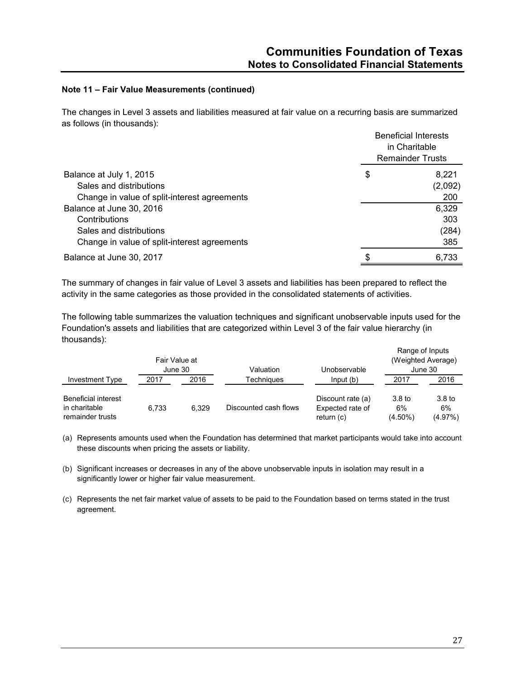The changes in Level 3 assets and liabilities measured at fair value on a recurring basis are summarized as follows (in thousands):

|                                              | <b>Beneficial Interests</b><br>in Charitable<br><b>Remainder Trusts</b> |
|----------------------------------------------|-------------------------------------------------------------------------|
| Balance at July 1, 2015                      | \$<br>8.221                                                             |
| Sales and distributions                      | (2,092)                                                                 |
| Change in value of split-interest agreements | 200                                                                     |
| Balance at June 30, 2016                     | 6,329                                                                   |
| Contributions                                | 303                                                                     |
| Sales and distributions                      | (284)                                                                   |
| Change in value of split-interest agreements | 385                                                                     |
| Balance at June 30, 2017                     | 6,733                                                                   |

The summary of changes in fair value of Level 3 assets and liabilities has been prepared to reflect the activity in the same categories as those provided in the consolidated statements of activities.

The following table summarizes the valuation techniques and significant unobservable inputs used for the Foundation's assets and liabilities that are categorized within Level 3 of the fair value hierarchy (in thousands):

|                                                                 | Fair Value at<br>June 30 |       | Valuation             | Unobservable                                        | Range of Inputs<br>(Weighted Average)<br>June 30 |                                    |  |
|-----------------------------------------------------------------|--------------------------|-------|-----------------------|-----------------------------------------------------|--------------------------------------------------|------------------------------------|--|
| Investment Type                                                 | 2017                     | 2016  | Techniaues            | Input(b)                                            | 2017                                             | 2016                               |  |
| <b>Beneficial interest</b><br>in charitable<br>remainder trusts | 6.733                    | 6.329 | Discounted cash flows | Discount rate (a)<br>Expected rate of<br>return (c) | 3.8 <sub>to</sub><br>6%<br>$(4.50\%)$            | 3.8 <sub>to</sub><br>6%<br>(4.97%) |  |

(a) Represents amounts used when the Foundation has determined that market participants would take into account these discounts when pricing the assets or liability.

- (b) Significant increases or decreases in any of the above unobservable inputs in isolation may result in a significantly lower or higher fair value measurement.
- (c) Represents the net fair market value of assets to be paid to the Foundation based on terms stated in the trust agreement.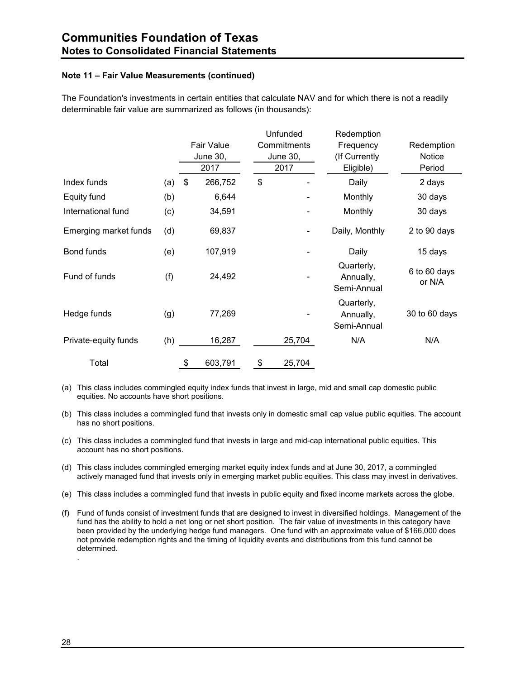The Foundation's investments in certain entities that calculate NAV and for which there is not a readily determinable fair value are summarized as follows (in thousands):

|                       |     |                   | Unfunded        | Redemption                             |                        |
|-----------------------|-----|-------------------|-----------------|----------------------------------------|------------------------|
|                       |     | <b>Fair Value</b> | Commitments     | Frequency                              | Redemption             |
|                       |     | <b>June 30,</b>   | <b>June 30,</b> | (If Currently                          | Notice                 |
|                       |     | 2017              | 2017            | Eligible)                              | Period                 |
| Index funds           | (a) | \$<br>266,752     | \$              | Daily                                  | 2 days                 |
| Equity fund           | (b) | 6,644             |                 | Monthly                                | 30 days                |
| International fund    | (c) | 34,591            |                 | Monthly                                | 30 days                |
| Emerging market funds | (d) | 69,837            |                 | Daily, Monthly                         | 2 to 90 days           |
| Bond funds            | (e) | 107,919           |                 | Daily                                  | 15 days                |
| Fund of funds         | (f) | 24,492            |                 | Quarterly,<br>Annually,<br>Semi-Annual | 6 to 60 days<br>or N/A |
| Hedge funds           | (g) | 77,269            |                 | Quarterly,<br>Annually,<br>Semi-Annual | 30 to 60 days          |
| Private-equity funds  | (h) | 16,287            | 25,704          | N/A                                    | N/A                    |
| Total                 |     | \$<br>603,791     | \$<br>25,704    |                                        |                        |

(a) This class includes commingled equity index funds that invest in large, mid and small cap domestic public equities. No accounts have short positions.

(b) This class includes a commingled fund that invests only in domestic small cap value public equities. The account has no short positions.

(c) This class includes a commingled fund that invests in large and mid-cap international public equities. This account has no short positions.

(d) This class includes commingled emerging market equity index funds and at June 30, 2017, a commingled actively managed fund that invests only in emerging market public equities. This class may invest in derivatives.

(e) This class includes a commingled fund that invests in public equity and fixed income markets across the globe.

(f) Fund of funds consist of investment funds that are designed to invest in diversified holdings. Management of the fund has the ability to hold a net long or net short position. The fair value of investments in this category have been provided by the underlying hedge fund managers. One fund with an approximate value of \$166,000 does not provide redemption rights and the timing of liquidity events and distributions from this fund cannot be determined. .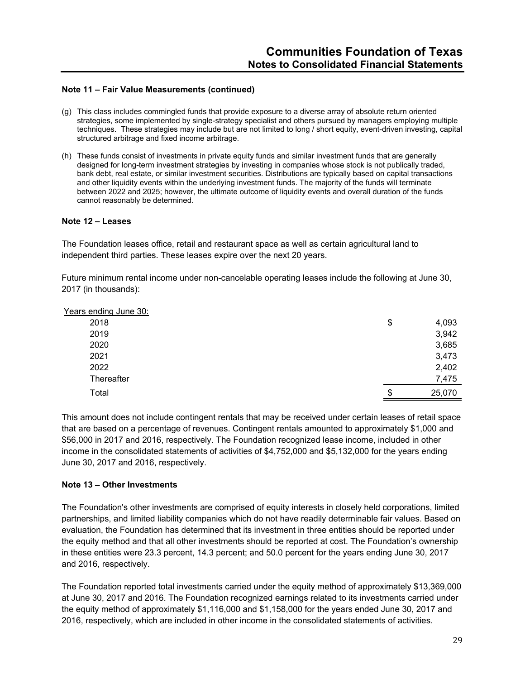- (g) This class includes commingled funds that provide exposure to a diverse array of absolute return oriented strategies, some implemented by single-strategy specialist and others pursued by managers employing multiple techniques. These strategies may include but are not limited to long / short equity, event-driven investing, capital structured arbitrage and fixed income arbitrage.
- (h) These funds consist of investments in private equity funds and similar investment funds that are generally designed for long-term investment strategies by investing in companies whose stock is not publically traded, bank debt, real estate, or similar investment securities. Distributions are typically based on capital transactions and other liquidity events within the underlying investment funds. The majority of the funds will terminate between 2022 and 2025; however, the ultimate outcome of liquidity events and overall duration of the funds cannot reasonably be determined.

#### **Note 12 – Leases**

The Foundation leases office, retail and restaurant space as well as certain agricultural land to independent third parties. These leases expire over the next 20 years.

Future minimum rental income under non-cancelable operating leases include the following at June 30, 2017 (in thousands):

| Years ending June 30: |              |
|-----------------------|--------------|
| 2018                  | \$<br>4,093  |
| 2019                  | 3,942        |
| 2020                  | 3,685        |
| 2021                  | 3,473        |
| 2022                  | 2,402        |
| Thereafter            | 7,475        |
| Total                 | \$<br>25,070 |

This amount does not include contingent rentals that may be received under certain leases of retail space that are based on a percentage of revenues. Contingent rentals amounted to approximately \$1,000 and \$56,000 in 2017 and 2016, respectively. The Foundation recognized lease income, included in other income in the consolidated statements of activities of \$4,752,000 and \$5,132,000 for the years ending June 30, 2017 and 2016, respectively.

#### **Note 13 – Other Investments**

The Foundation's other investments are comprised of equity interests in closely held corporations, limited partnerships, and limited liability companies which do not have readily determinable fair values. Based on evaluation, the Foundation has determined that its investment in three entities should be reported under the equity method and that all other investments should be reported at cost. The Foundation's ownership in these entities were 23.3 percent, 14.3 percent; and 50.0 percent for the years ending June 30, 2017 and 2016, respectively.

The Foundation reported total investments carried under the equity method of approximately \$13,369,000 at June 30, 2017 and 2016. The Foundation recognized earnings related to its investments carried under the equity method of approximately \$1,116,000 and \$1,158,000 for the years ended June 30, 2017 and 2016, respectively, which are included in other income in the consolidated statements of activities.